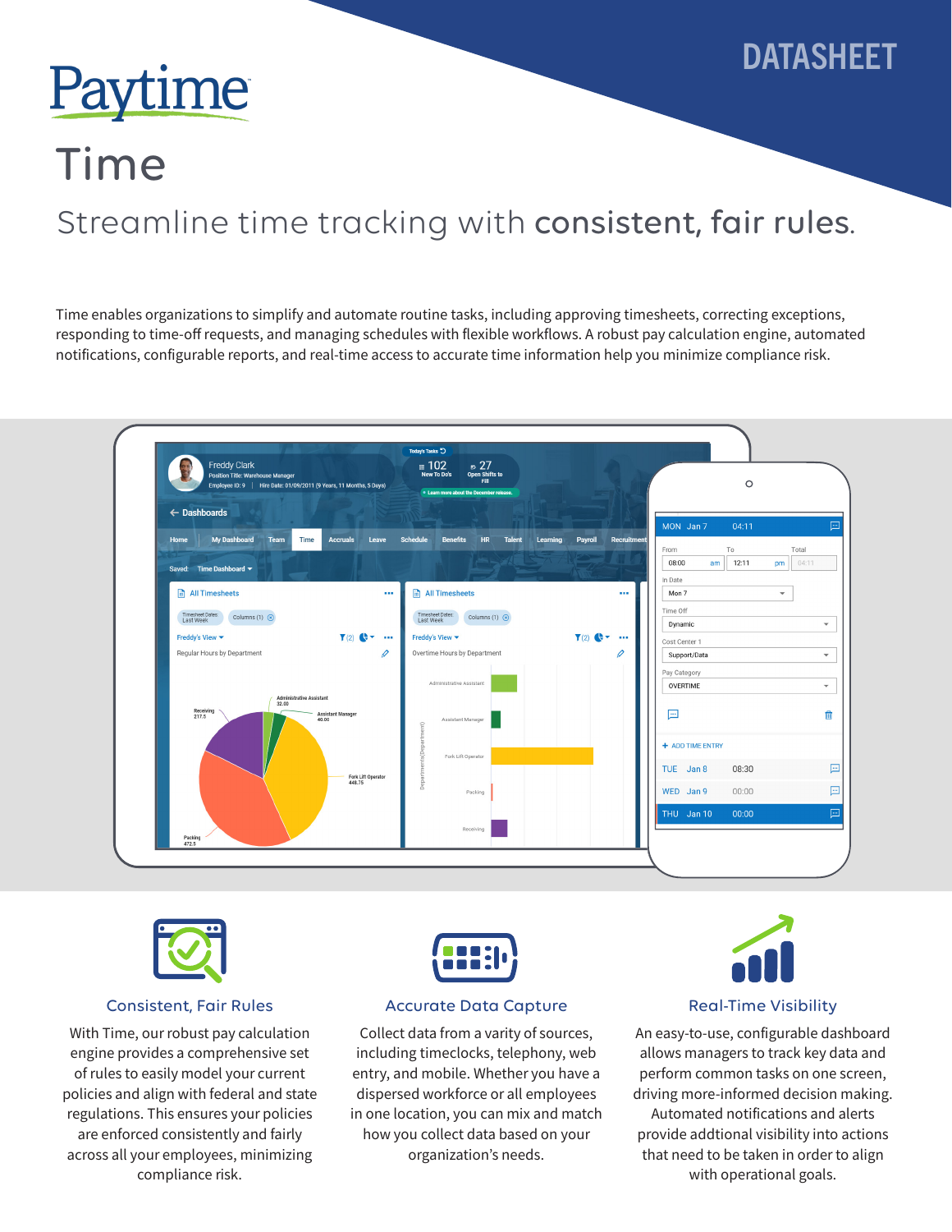

# Paytime

## Time

### Streamline time tracking with consistent, fair rules.

Time enables organizations to simplify and automate routine tasks, including approving timesheets, correcting exceptions, responding to time-off requests, and managing schedules with flexible workflows. A robust pay calculation engine, automated notifications, configurable reports, and real-time access to accurate time information help you minimize compliance risk.





#### Consistent, Fair Rules

With Time, our robust pay calculation engine provides a comprehensive set of rules to easily model your current policies and align with federal and state regulations. This ensures your policies are enforced consistently and fairly across all your employees, minimizing compliance risk.



### Accurate Data Capture

Collect data from a varity of sources, including timeclocks, telephony, web entry, and mobile. Whether you have a dispersed workforce or all employees in one location, you can mix and match how you collect data based on your organization's needs.



### Real-Time Visibility

An easy-to-use, configurable dashboard allows managers to track key data and perform common tasks on one screen, driving more-informed decision making. Automated notifications and alerts provide addtional visibility into actions that need to be taken in order to align with operational goals.